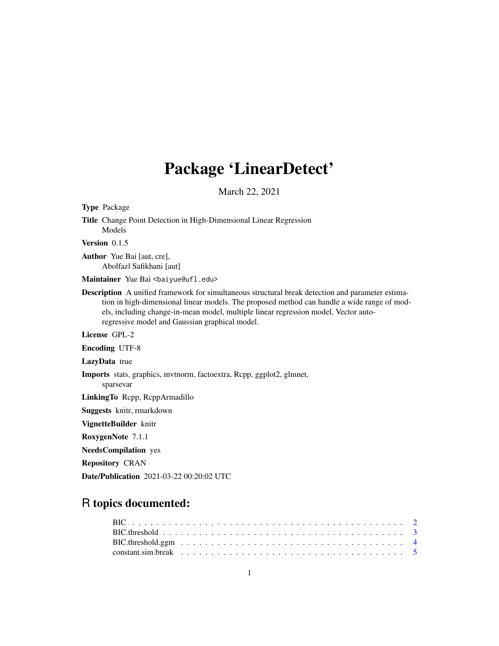## Package 'LinearDetect'

March 22, 2021

Type Package Title Change Point Detection in High-Dimensional Linear Regression Models Version 0.1.5 Author Yue Bai [aut, cre], Abolfazl Safikhani [aut] Maintainer Yue Bai <br/>baiyue@ufl.edu> Description A unified framework for simultaneous structural break detection and parameter estimation in high-dimensional linear models. The proposed method can handle a wide range of models, including change-in-mean model, multiple linear regression model, Vector autoregressive model and Gaussian graphical model. License GPL-2 Encoding UTF-8 LazyData true Imports stats, graphics, mvtnorm, factoextra, Rcpp, ggplot2, glmnet, sparsevar LinkingTo Rcpp, RcppArmadillo Suggests knitr, rmarkdown VignetteBuilder knitr RoxygenNote 7.1.1 NeedsCompilation yes Repository CRAN Date/Publication 2021-03-22 00:20:02 UTC

## R topics documented: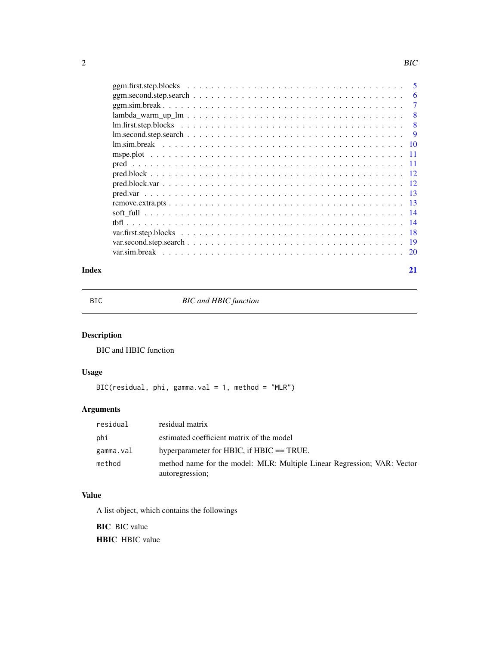<span id="page-1-0"></span>

|                                              | 5    |
|----------------------------------------------|------|
|                                              | 6    |
|                                              | 7    |
|                                              | 8    |
| $lm.first. step. blocks                    $ | 8    |
|                                              | 9    |
|                                              | -10  |
|                                              | -11  |
|                                              | -11  |
|                                              |      |
|                                              |      |
|                                              |      |
|                                              |      |
|                                              |      |
|                                              | - 14 |
|                                              | -18  |
|                                              |      |
|                                              |      |
|                                              |      |

#### **Index** [21](#page-20-0)

BIC *BIC and HBIC function*

## Description

BIC and HBIC function

## Usage

BIC(residual, phi, gamma.val = 1, method = "MLR")

## Arguments

| residual  | residual matrix                                                                            |
|-----------|--------------------------------------------------------------------------------------------|
| phi       | estimated coefficient matrix of the model                                                  |
| gamma.val | hyperparameter for HBIC, if $HBIC == TRUE$ .                                               |
| method    | method name for the model: MLR: Multiple Linear Regression; VAR: Vector<br>autoregression; |

## Value

A list object, which contains the followings

BIC BIC value HBIC HBIC value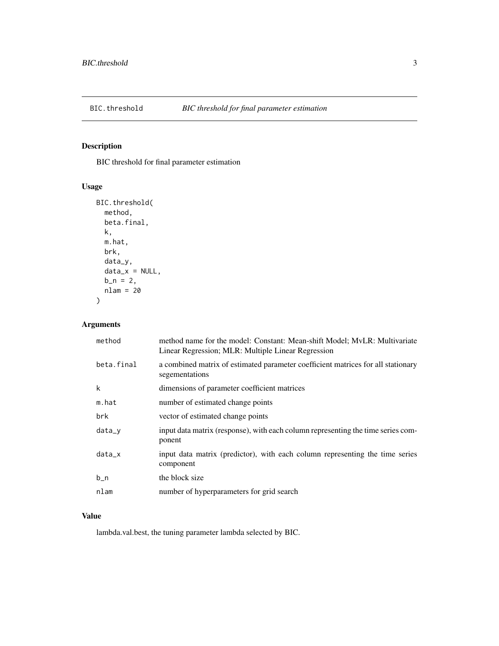<span id="page-2-0"></span>

## Description

BIC threshold for final parameter estimation

#### Usage

```
BIC.threshold(
  method,
  beta.final,
  k,
  m.hat,
  brk,
  data_y,
  data_x = NULL,b_n = 2,
  nlam = 20
)
```
## Arguments

| method     | method name for the model: Constant: Mean-shift Model; MyLR: Multivariate<br>Linear Regression; MLR: Multiple Linear Regression |
|------------|---------------------------------------------------------------------------------------------------------------------------------|
| beta.final | a combined matrix of estimated parameter coefficient matrices for all stationary<br>segementations                              |
| k          | dimensions of parameter coefficient matrices                                                                                    |
| m.hat      | number of estimated change points                                                                                               |
| brk        | vector of estimated change points                                                                                               |
| $data_y$   | input data matrix (response), with each column representing the time series com-<br>ponent                                      |
| $data_x$   | input data matrix (predictor), with each column representing the time series<br>component                                       |
| $b_n$      | the block size                                                                                                                  |
| nlam       | number of hyperparameters for grid search                                                                                       |

## Value

lambda.val.best, the tuning parameter lambda selected by BIC.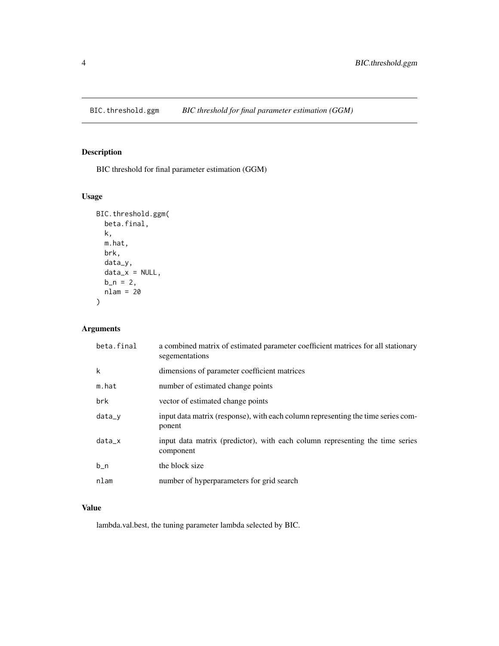<span id="page-3-0"></span>BIC.threshold.ggm *BIC threshold for final parameter estimation (GGM)*

## Description

BIC threshold for final parameter estimation (GGM)

#### Usage

```
BIC.threshold.ggm(
  beta.final,
  k,
  m.hat,
  brk,
  data_y,
  data_x = NULL,b_n = 2,
  nlam = 20
)
```
## Arguments

| beta.final | a combined matrix of estimated parameter coefficient matrices for all stationary<br>segementations |
|------------|----------------------------------------------------------------------------------------------------|
| k          | dimensions of parameter coefficient matrices                                                       |
| m.hat      | number of estimated change points                                                                  |
| brk        | vector of estimated change points                                                                  |
| $data_y$   | input data matrix (response), with each column representing the time series com-<br>ponent         |
| $data_x$   | input data matrix (predictor), with each column representing the time series<br>component          |
| $b_n$      | the block size                                                                                     |
| nlam       | number of hyperparameters for grid search                                                          |

#### Value

lambda.val.best, the tuning parameter lambda selected by BIC.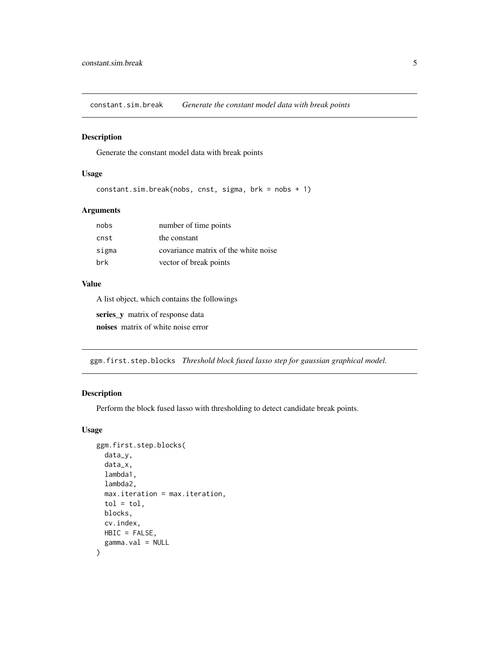<span id="page-4-0"></span>constant.sim.break *Generate the constant model data with break points*

#### Description

Generate the constant model data with break points

#### Usage

```
constant.sim.break(nobs, cnst, sigma, brk = nobs + 1)
```
#### Arguments

| nobs  | number of time points                |
|-------|--------------------------------------|
| cnst  | the constant                         |
| sigma | covariance matrix of the white noise |
| brk   | vector of break points               |

#### Value

A list object, which contains the followings

series\_y matrix of response data noises matrix of white noise error

ggm.first.step.blocks *Threshold block fused lasso step for gaussian graphical model.*

### Description

Perform the block fused lasso with thresholding to detect candidate break points.

```
ggm.first.step.blocks(
  data_y,
  data_x,
  lambda1,
  lambda2,
 max.iteration = max.iteration,
  tol = tol,
 blocks,
  cv.index,
 HBIC = FALSE,
  gamma.val = NULL
)
```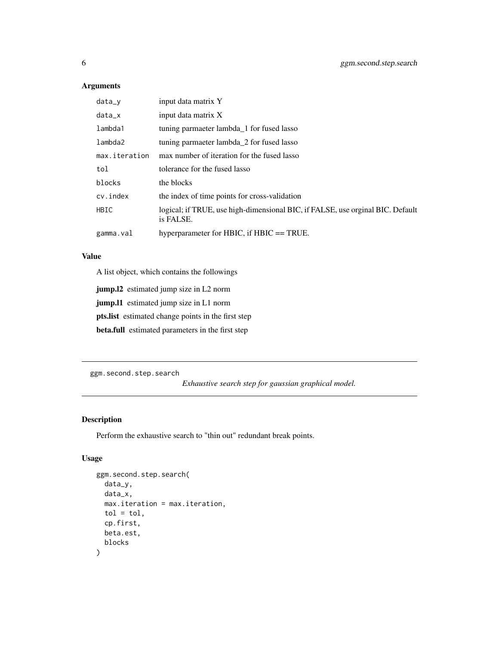<span id="page-5-0"></span>

| $data_y$      | input data matrix Y                                                                         |
|---------------|---------------------------------------------------------------------------------------------|
| $data_x$      | input data matrix X                                                                         |
| lambda1       | tuning parmaeter lambda_1 for fused lasso                                                   |
| lambda2       | tuning parmaeter lambda_2 for fused lasso                                                   |
| max.iteration | max number of iteration for the fused lasso                                                 |
| tol           | tolerance for the fused lasso                                                               |
| blocks        | the blocks                                                                                  |
| cv.index      | the index of time points for cross-validation                                               |
| HBIC          | logical; if TRUE, use high-dimensional BIC, if FALSE, use orginal BIC. Default<br>is FALSE. |
| gamma.val     | hyperparameter for HBIC, if $HBIC = TRUE$ .                                                 |

#### Value

A list object, which contains the followings

jump.l2 estimated jump size in L2 norm

jump.l1 estimated jump size in L1 norm

pts.list estimated change points in the first step

beta.full estimated parameters in the first step

ggm.second.step.search

*Exhaustive search step for gaussian graphical model.*

#### Description

Perform the exhaustive search to "thin out" redundant break points.

```
ggm.second.step.search(
  data_y,
  data_x,
  max.iteration = max.iteration,
  tol = tol,cp.first,
  beta.est,
  blocks
\mathcal{E}
```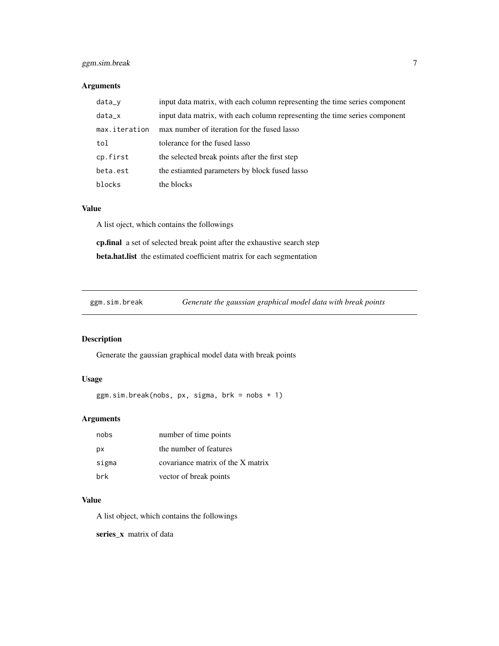## <span id="page-6-0"></span>ggm.sim.break 7

### Arguments

| data_y        | input data matrix, with each column representing the time series component |
|---------------|----------------------------------------------------------------------------|
| data_x        | input data matrix, with each column representing the time series component |
| max.iteration | max number of iteration for the fused lasso                                |
| tol           | tolerance for the fused lasso                                              |
| cp.first      | the selected break points after the first step                             |
| beta.est      | the estianted parameters by block fused lasso                              |
| blocks        | the blocks                                                                 |

#### Value

A list oject, which contains the followings

cp.final a set of selected break point after the exhaustive search step beta.hat.list the estimated coefficient matrix for each segmentation

ggm.sim.break *Generate the gaussian graphical model data with break points*

#### Description

Generate the gaussian graphical model data with break points

#### Usage

ggm.sim.break(nobs, px, sigma, brk = nobs + 1)

#### Arguments

| nobs  | number of time points             |
|-------|-----------------------------------|
| рx    | the number of features            |
| sigma | covariance matrix of the X matrix |
| brk   | vector of break points            |

#### Value

A list object, which contains the followings

series\_x matrix of data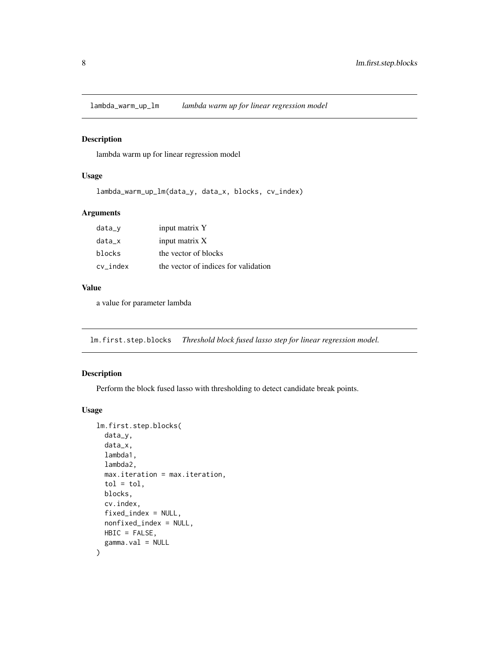<span id="page-7-0"></span>lambda\_warm\_up\_lm *lambda warm up for linear regression model*

#### Description

lambda warm up for linear regression model

#### Usage

lambda\_warm\_up\_lm(data\_y, data\_x, blocks, cv\_index)

#### Arguments

| $data_v$ | input matrix Y                       |
|----------|--------------------------------------|
| data x   | input matrix X                       |
| blocks   | the vector of blocks                 |
| cv index | the vector of indices for validation |

#### Value

a value for parameter lambda

lm.first.step.blocks *Threshold block fused lasso step for linear regression model.*

#### Description

Perform the block fused lasso with thresholding to detect candidate break points.

```
lm.first.step.blocks(
 data_y,
 data_x,
 lambda1,
  lambda2,
 max.iteration = max.iteration,
  tol = tol,blocks,
  cv.index,
 fixed_index = NULL,
 nonfixed_index = NULL,
 HBIC = FALSE,
  gamma.val = NULL
\mathcal{E}
```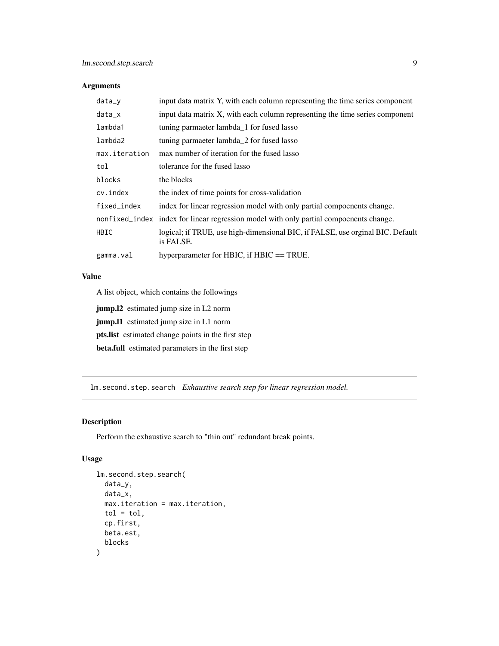<span id="page-8-0"></span>

| $data_y$      | input data matrix Y, with each column representing the time series component                |
|---------------|---------------------------------------------------------------------------------------------|
| $data_x$      | input data matrix X, with each column representing the time series component                |
| lambda1       | tuning parmaeter lambda_1 for fused lasso                                                   |
| lambda2       | tuning parmaeter lambda_2 for fused lasso                                                   |
| max.iteration | max number of iteration for the fused lasso                                                 |
| tol           | tolerance for the fused lasso                                                               |
| blocks        | the blocks                                                                                  |
| cv.index      | the index of time points for cross-validation                                               |
| fixed_index   | index for linear regression model with only partial compoenents change.                     |
|               | nonfixed_index index for linear regression model with only partial compoenents change.      |
| HBIC          | logical; if TRUE, use high-dimensional BIC, if FALSE, use orginal BIC. Default<br>is FALSE. |
| gamma.val     | hyperparameter for HBIC, if HBIC == TRUE.                                                   |

#### Value

A list object, which contains the followings

jump.l2 estimated jump size in L2 norm jump.l1 estimated jump size in L1 norm pts.list estimated change points in the first step beta.full estimated parameters in the first step

lm.second.step.search *Exhaustive search step for linear regression model.*

#### Description

Perform the exhaustive search to "thin out" redundant break points.

```
lm.second.step.search(
  data_y,
  data_x,
  max.iteration = max.iteration,
  tol = tol,cp.first,
  beta.est,
  blocks
\mathcal{E}
```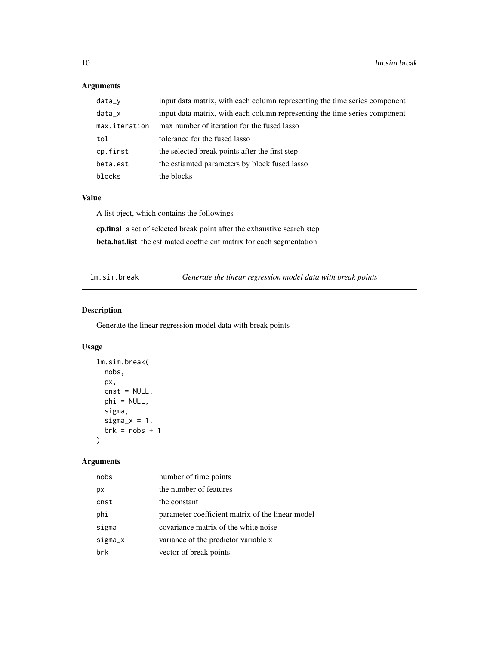| $data_y$      | input data matrix, with each column representing the time series component |
|---------------|----------------------------------------------------------------------------|
| $data_x$      | input data matrix, with each column representing the time series component |
| max.iteration | max number of iteration for the fused lasso                                |
| tol           | tolerance for the fused lasso                                              |
| cp.first      | the selected break points after the first step                             |
| beta.est      | the estiamted parameters by block fused lasso                              |
| blocks        | the blocks                                                                 |

#### Value

A list oject, which contains the followings

cp.final a set of selected break point after the exhaustive search step beta.hat.list the estimated coefficient matrix for each segmentation

lm.sim.break *Generate the linear regression model data with break points*

#### Description

Generate the linear regression model data with break points

#### Usage

```
lm.sim.break(
 nobs,
 px,
 cnst = NULL,
 phi = NULL,
  sigma,
  signa_x = 1,
  brk = nobs + 1)
```

| nobs    | number of time points                            |
|---------|--------------------------------------------------|
| рx      | the number of features                           |
| cnst    | the constant                                     |
| phi     | parameter coefficient matrix of the linear model |
| sigma   | covariance matrix of the white noise             |
| sigma_x | variance of the predictor variable x             |
| brk     | vector of break points                           |

<span id="page-9-0"></span>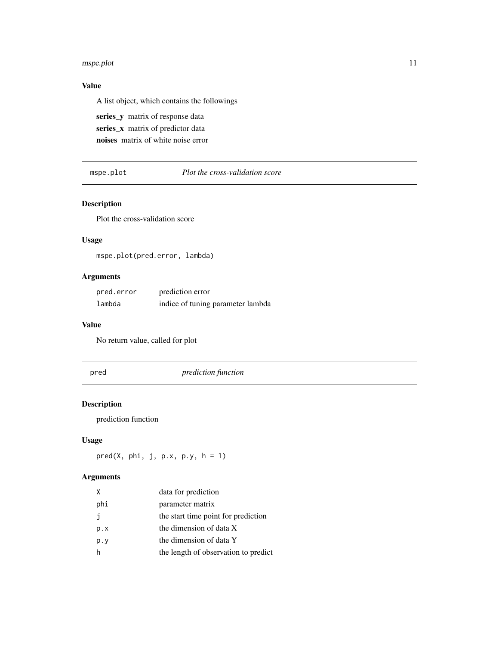#### <span id="page-10-0"></span>mspe.plot 11

## Value

A list object, which contains the followings

series\_y matrix of response data series\_x matrix of predictor data noises matrix of white noise error

#### mspe.plot *Plot the cross-validation score*

## Description

Plot the cross-validation score

#### Usage

mspe.plot(pred.error, lambda)

## Arguments

| pred.error | prediction error                  |
|------------|-----------------------------------|
| lambda     | indice of tuning parameter lambda |

#### Value

No return value, called for plot

pred *prediction function*

## Description

prediction function

#### Usage

 $pred(X, phi, j, p.x, p.y, h = 1)$ 

| $\times$    | data for prediction                  |
|-------------|--------------------------------------|
| phi         | parameter matrix                     |
| j.          | the start time point for prediction  |
| p.X         | the dimension of data X              |
| $p \cdot y$ | the dimension of data Y              |
|             | the length of observation to predict |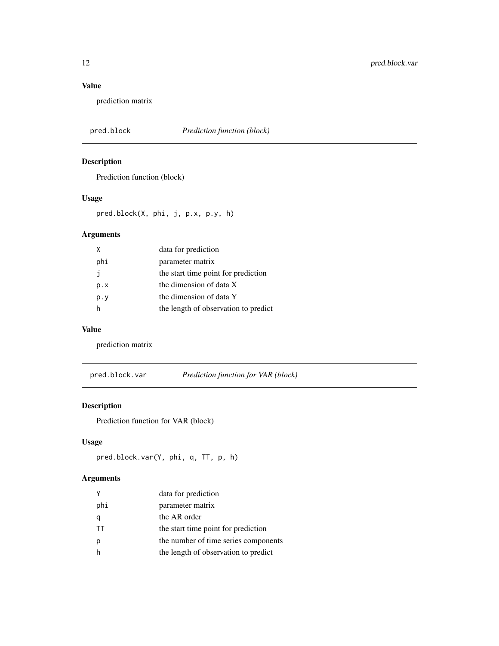## <span id="page-11-0"></span>Value

prediction matrix

## pred.block *Prediction function (block)*

## Description

Prediction function (block)

## Usage

pred.block(X, phi, j, p.x, p.y, h)

## Arguments

| $\times$    | data for prediction                  |
|-------------|--------------------------------------|
| phi         | parameter matrix                     |
| j.          | the start time point for prediction  |
| p.X         | the dimension of data X              |
| $p \cdot y$ | the dimension of data Y              |
|             | the length of observation to predict |

#### Value

prediction matrix

pred.block.var *Prediction function for VAR (block)*

## Description

Prediction function for VAR (block)

#### Usage

```
pred.block.var(Y, phi, q, TT, p, h)
```

|     | data for prediction                  |
|-----|--------------------------------------|
| phi | parameter matrix                     |
|     | the AR order                         |
| -TT | the start time point for prediction  |
| p   | the number of time series components |
|     | the length of observation to predict |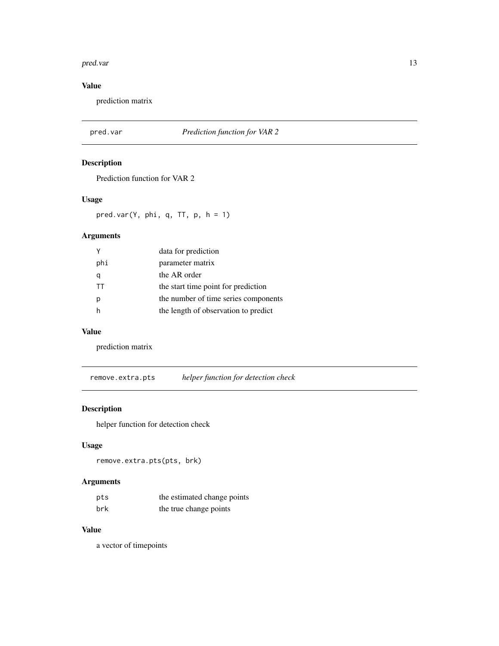#### <span id="page-12-0"></span>pred.var 13

## Value

prediction matrix

## pred.var *Prediction function for VAR 2*

## Description

Prediction function for VAR 2

## Usage

pred.var(Y, phi, q, TT, p, h = 1)

## Arguments

|     | data for prediction                  |
|-----|--------------------------------------|
| phi | parameter matrix                     |
| q   | the AR order                         |
| TT  | the start time point for prediction  |
| р   | the number of time series components |
|     | the length of observation to predict |
|     |                                      |

#### Value

prediction matrix

remove.extra.pts *helper function for detection check*

## Description

helper function for detection check

#### Usage

```
remove.extra.pts(pts, brk)
```
## Arguments

| pts | the estimated change points |
|-----|-----------------------------|
| brk | the true change points      |

## Value

a vector of timepoints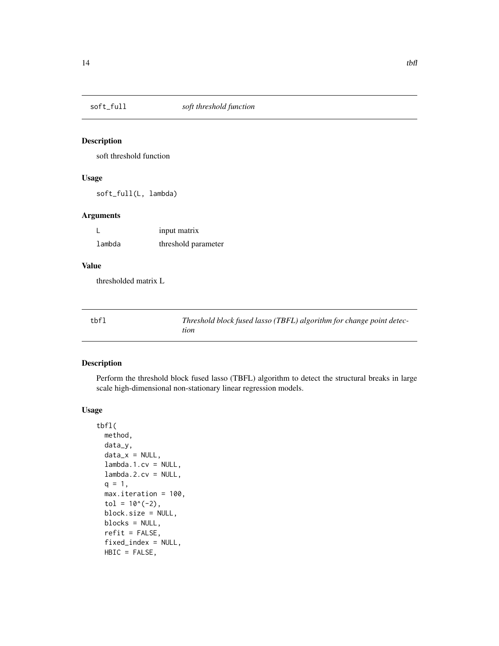<span id="page-13-0"></span>

#### Description

soft threshold function

#### Usage

soft\_full(L, lambda)

#### Arguments

|        | input matrix        |
|--------|---------------------|
| lambda | threshold parameter |

## Value

thresholded matrix L

tbfl *Threshold block fused lasso (TBFL) algorithm for change point detection*

#### Description

Perform the threshold block fused lasso (TBFL) algorithm to detect the structural breaks in large scale high-dimensional non-stationary linear regression models.

```
tbfl(
 method,
 data_y,
  data_x = NULL,lambda.1.cv = NULL,lambda.2.cv = NULL,
 q = 1,
 max.iteration = 100,
  tol = 10^*(-2),
 block.size = NULL,
 blocks = NULL,
  refit = FALSE,
  fixed_index = NULL,
 HBIC = FALSE,
```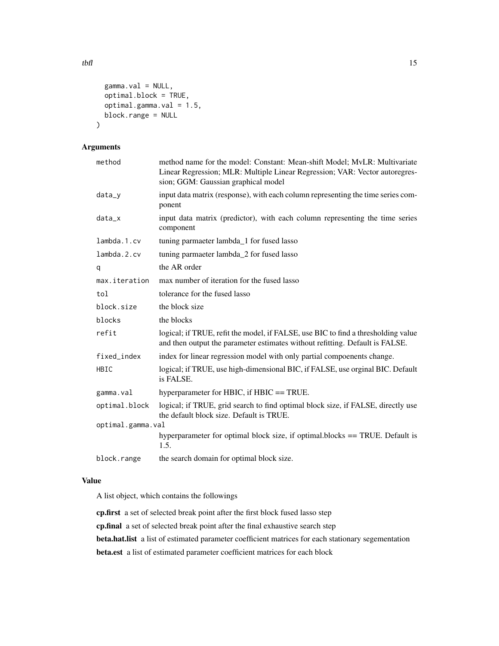```
gamma.val = NULL,optimal.block = TRUE,
 optimal.gamma.val = 1.5,
 block.range = NULL
)
```

| method            | method name for the model: Constant: Mean-shift Model; MyLR: Multivariate<br>Linear Regression; MLR: Multiple Linear Regression; VAR: Vector autoregres-<br>sion; GGM: Gaussian graphical model |
|-------------------|-------------------------------------------------------------------------------------------------------------------------------------------------------------------------------------------------|
| $data_y$          | input data matrix (response), with each column representing the time series com-<br>ponent                                                                                                      |
| data_x            | input data matrix (predictor), with each column representing the time series<br>component                                                                                                       |
| lambda.1.cv       | tuning parmaeter lambda_1 for fused lasso                                                                                                                                                       |
| lambda.2.cv       | tuning parmaeter lambda_2 for fused lasso                                                                                                                                                       |
| q                 | the AR order                                                                                                                                                                                    |
| max.iteration     | max number of iteration for the fused lasso                                                                                                                                                     |
| tol               | tolerance for the fused lasso                                                                                                                                                                   |
| block.size        | the block size                                                                                                                                                                                  |
| blocks            | the blocks                                                                                                                                                                                      |
| refit             | logical; if TRUE, refit the model, if FALSE, use BIC to find a thresholding value<br>and then output the parameter estimates without refitting. Default is FALSE.                               |
| fixed_index       | index for linear regression model with only partial compoenents change.                                                                                                                         |
| HBIC              | logical; if TRUE, use high-dimensional BIC, if FALSE, use orginal BIC. Default<br>is FALSE.                                                                                                     |
| gamma.val         | hyperparameter for HBIC, if HBIC == TRUE.                                                                                                                                                       |
| optimal.block     | logical; if TRUE, grid search to find optimal block size, if FALSE, directly use<br>the default block size. Default is TRUE.                                                                    |
| optimal.gamma.val |                                                                                                                                                                                                 |
|                   | hyperparameter for optimal block size, if optimal blocks $==$ TRUE. Default is<br>1.5.                                                                                                          |
| block.range       | the search domain for optimal block size.                                                                                                                                                       |

## Value

A list object, which contains the followings

cp.first a set of selected break point after the first block fused lasso step

cp.final a set of selected break point after the final exhaustive search step

beta.hat.list a list of estimated parameter coefficient matrices for each stationary segementation

beta.est a list of estimated parameter coefficient matrices for each block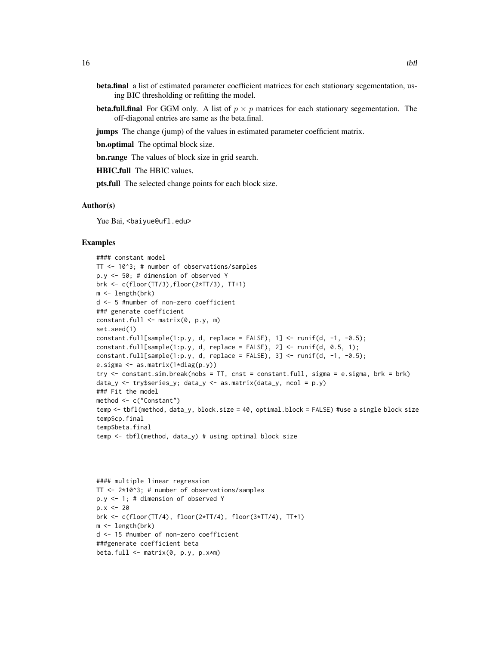- beta.final a list of estimated parameter coefficient matrices for each stationary segementation, using BIC thresholding or refitting the model.
- **beta.full.final** For GGM only. A list of  $p \times p$  matrices for each stationary segementation. The off-diagonal entries are same as the beta.final.
- jumps The change (jump) of the values in estimated parameter coefficient matrix.

bn.optimal The optimal block size.

bn.range The values of block size in grid search.

HBIC.full The HBIC values.

pts.full The selected change points for each block size.

#### Author(s)

Yue Bai, <baiyue@ufl.edu>

#### Examples

```
#### constant model
TT <- 10^3; # number of observations/samples
p.y <- 50; # dimension of observed Y
brk <- c(floor(TT/3),floor(2*TT/3), TT+1)
m <- length(brk)
d <- 5 #number of non-zero coefficient
### generate coefficient
constant.full <- matrix(0, p.y, m)
set.seed(1)
constant.full[sample(1:p.y, d, replace = FALSE), 1] <- runif(d, -1, -0.5);
constant.full[sample(1:p.y, d, replace = FALSE), 2] \le runif(d, 0.5, 1);
constant.full[sample(1:p.y, d, replace = FALSE), 3] <- runif(d, -1, -0.5);
e.sigma <- as.matrix(1*diag(p.y))
try <- constant.sim.break(nobs = TT, cnst = constant.full, sigma = e.sigma, brk = brk)
data_y <- try$series_y; data_y <- as.matrix(data_y, ncol = p.y)
### Fit the model
method <- c("Constant")
temp <- tbfl(method, data_y, block.size = 40, optimal.block = FALSE) #use a single block size
temp$cp.final
temp$beta.final
temp <- tbfl(method, data_y) # using optimal block size
```

```
#### multiple linear regression
TT <- 2*10^3; # number of observations/samples
p.y <- 1; # dimension of observed Y
p.x \le -20brk <- c(floor(TT/4), floor(2*TT/4), floor(3*TT/4), TT+1)
m <- length(brk)
d <- 15 #number of non-zero coefficient
###generate coefficient beta
beta.full <- matrix(0, p.y, p.x*m)
```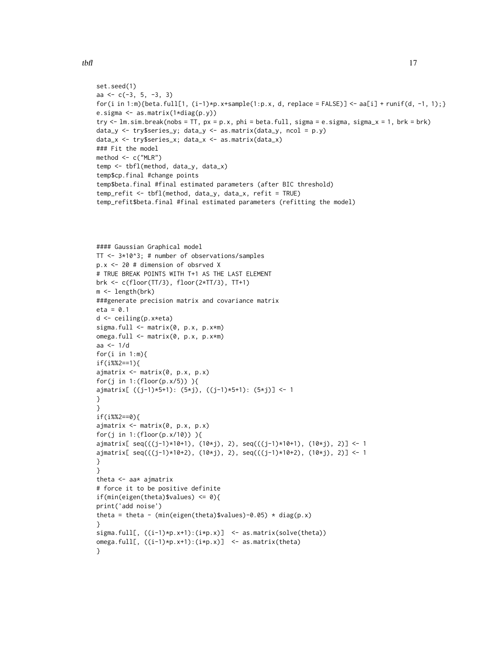```
tbfl \qquad \qquad 17
```

```
set.seed(1)
aa \leq c(-3, 5, -3, 3)
for(i in 1:m){beta.full[1, (i-1)*p.x+sample(1:p.x, d, replace = FALSE)] <- aa[i] + runif(d, -1, 1);}
e.sigma <- as.matrix(1*diag(p.y))
try <- lm.sim.break(nobs = TT, px = p.x, phi = beta.full, sigma = e.sigma, sigma_x = 1, brk = brk)
data_y <- try$series_y; data_y <- as.matrix(data_y, ncol = p.y)
data_x <- try$series_x; data_x <- as.matrix(data_x)
### Fit the model
method <- c("MLR")
temp <- tbfl(method, data_y, data_x)
temp$cp.final #change points
temp$beta.final #final estimated parameters (after BIC threshold)
temp_refit <- tbfl(method, data_y, data_x, refit = TRUE)
temp_refit$beta.final #final estimated parameters (refitting the model)
```

```
#### Gaussian Graphical model
TT <- 3*10^3; # number of observations/samples
p.x <- 20 # dimension of obsrved X
# TRUE BREAK POINTS WITH T+1 AS THE LAST ELEMENT
brk <- c(floor(TT/3), floor(2*TT/3), TT+1)
m <- length(brk)
###generate precision matrix and covariance matrix
eta = 0.1d <- ceiling(p.x*eta)
sigma.full <- matrix(0, p.x, p.x*m)
omega.full <- matrix(0, p.x, p.x*m)
aa <- 1/d
for(i in 1:m){
if(i%%2==1){
ajmatrix <- matrix(0, p.x, p.x)
for(j in 1:(floor(p.x/5)) \}ajmatrix[ ((j-1)*5+1): (5*j), ((j-1)*5+1): (5*j)] <- 1
}
}
if(i%%2==0){
ajmatrix <- matrix(0, p.x, p.x)
for(j in 1:(floor(p.x/10)) ){
ajmatrix[ seq(((j-1)*10+1), (10*j), 2), seq(((j-1)*10+1), (10*j), 2)] <- 1
ajmatrix[ seq(((j-1)*10+2), (10*j), 2), seq(((j-1)*10+2), (10*j), 2)] <- 1
}
}
theta \leq aa* ajmatrix
# force it to be positive definite
if(min(eigen(theta)$values) <= 0){
print('add noise')
theta = theta - (min(eigen(theta)$values)-0.05) * diag(p.x)
}
sigma.full[, ((i-1)*p.x+1):(i*p.x)] \leq axis matrix(solve(theta))omega.full[, ((i-1)*p.x+1):(i*p.x)] <- as.matrix(theta)
}
```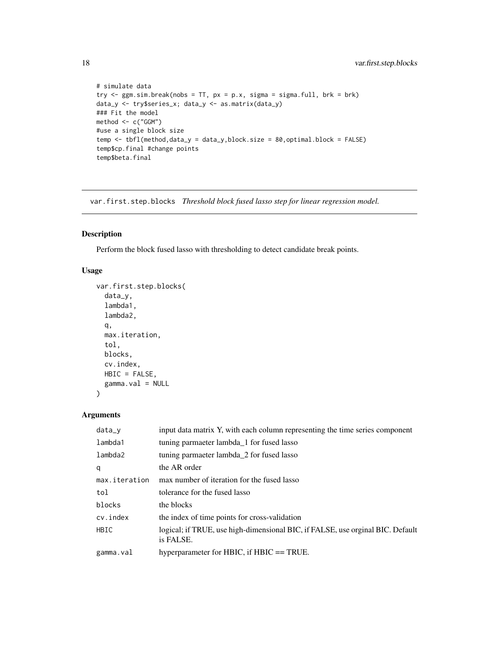```
# simulate data
try \leq ggm.sim.break(nobs = TT, px = p.x, sigma = sigma.full, brk = brk)
data_y <- try$series_x; data_y <- as.matrix(data_y)
### Fit the model
method <- c("GGM")
#use a single block size
temp <- tbfl(method,data_y = data_y,block.size = 80,optimal.block = FALSE)
temp$cp.final #change points
temp$beta.final
```
var.first.step.blocks *Threshold block fused lasso step for linear regression model.*

## Description

Perform the block fused lasso with thresholding to detect candidate break points.

#### Usage

```
var.first.step.blocks(
  data_y,
  lambda1,
  lambda2,
  q,
 max.iteration,
  tol,
 blocks,
  cv.index,
 HBIC = FALSE,
  gamma.val = NULL
)
```

| $data_y$      | input data matrix Y, with each column representing the time series component                |
|---------------|---------------------------------------------------------------------------------------------|
| lambda1       | tuning parmaeter lambda_1 for fused lasso                                                   |
| lambda2       | tuning parmaeter lambda_2 for fused lasso                                                   |
| q             | the AR order                                                                                |
| max.iteration | max number of iteration for the fused lasso                                                 |
| tol           | tolerance for the fused lasso                                                               |
| blocks        | the blocks                                                                                  |
| cv.index      | the index of time points for cross-validation                                               |
| HBIC          | logical; if TRUE, use high-dimensional BIC, if FALSE, use orginal BIC. Default<br>is FALSE. |
| gamma.val     | hyperparameter for HBIC, if $HBIC = TRUE$ .                                                 |

<span id="page-17-0"></span>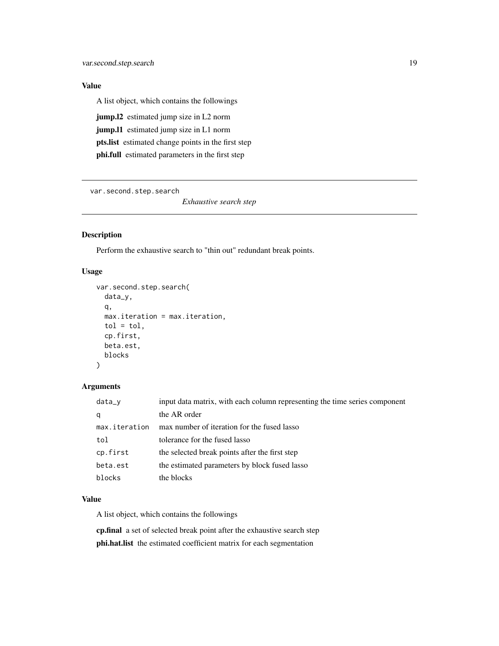## <span id="page-18-0"></span>Value

A list object, which contains the followings jump.l2 estimated jump size in L2 norm jump.l1 estimated jump size in L1 norm pts.list estimated change points in the first step phi.full estimated parameters in the first step

var.second.step.search

*Exhaustive search step*

## Description

Perform the exhaustive search to "thin out" redundant break points.

#### Usage

```
var.second.step.search(
  data_y,
  q,
  max.iteration = max.iteration,
  tol = tol,cp.first,
  beta.est,
  blocks
\mathcal{E}
```
#### Arguments

| data_y        | input data matrix, with each column representing the time series component |
|---------------|----------------------------------------------------------------------------|
| q             | the AR order                                                               |
| max.iteration | max number of iteration for the fused lasso                                |
| tol           | tolerance for the fused lasso                                              |
| cp.first      | the selected break points after the first step                             |
| beta.est      | the estimated parameters by block fused lasso                              |
| blocks        | the blocks                                                                 |

#### Value

A list object, which contains the followings

cp.final a set of selected break point after the exhaustive search step phi.hat.list the estimated coefficient matrix for each segmentation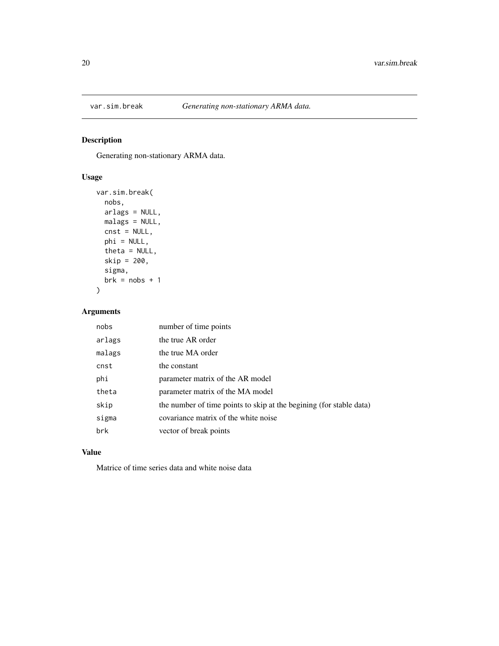<span id="page-19-0"></span>

#### Description

Generating non-stationary ARMA data.

#### Usage

```
var.sim.break(
 nobs,
 arlags = NULL,
 malags = NULL,
 cnst = NULL,phi = NULL,
 theta = NULL,
 skip = 200,
 sigma,
 brk = nobs + 1)
```
#### Arguments

| nobs   | number of time points                                               |
|--------|---------------------------------------------------------------------|
| arlags | the true AR order                                                   |
| malags | the true MA order                                                   |
| cnst   | the constant                                                        |
| phi    | parameter matrix of the AR model                                    |
| theta  | parameter matrix of the MA model                                    |
| skip   | the number of time points to skip at the begining (for stable data) |
| sigma  | covariance matrix of the white noise                                |
| brk    | vector of break points                                              |

#### Value

Matrice of time series data and white noise data